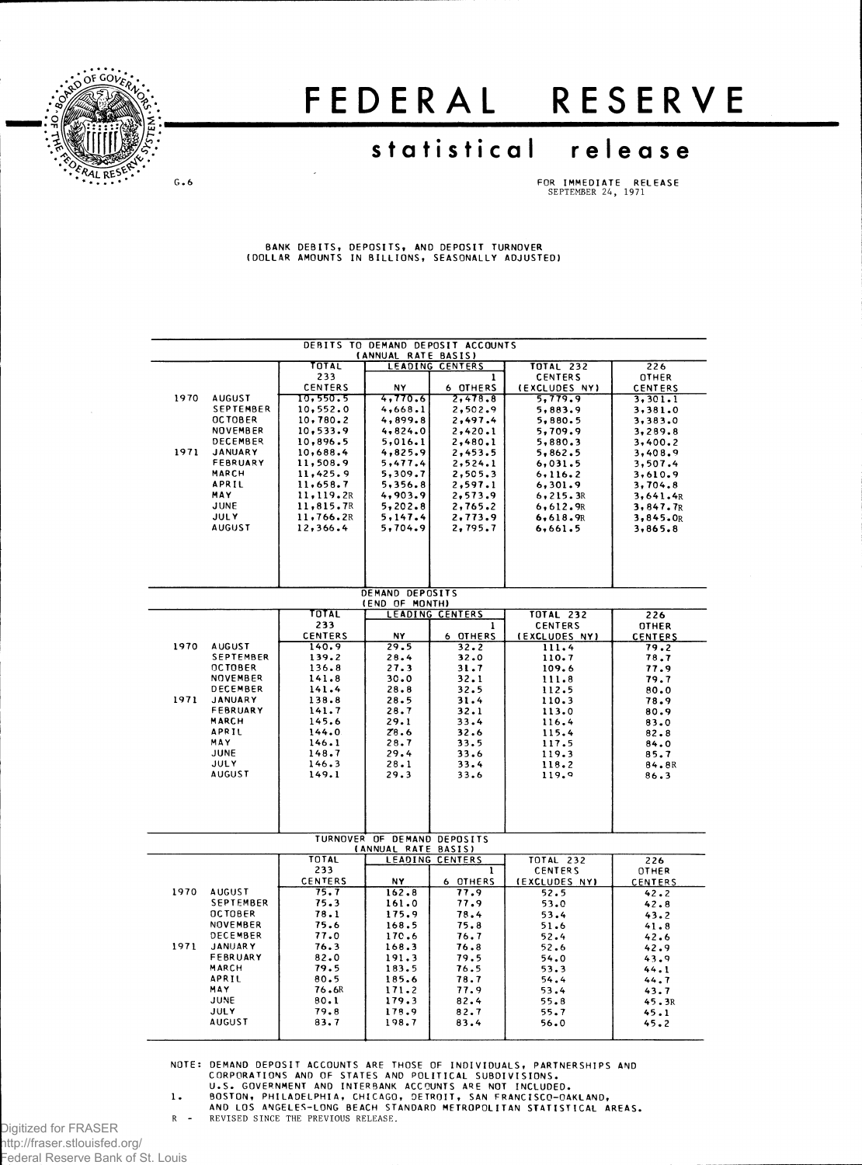

## FEDERA L RESERV E

## **statistica l releas e**

 $G - G$ 

**F OR IMMEDIAT E RELEAS E** SEPTEMBER 24, 1971

BANK DEBITS, DEPOSITS, AND DEPOSIT TURNOVER<br>(DOLLAR AMOUNTS IN BILLIONS, SEASONALLY ADJUSTED)

|      |                          |                            | (ANNUAL RATE BASIS)                                | DEBITS TO DEMAND DEPOSIT ACCOUNTS |                          |                           |
|------|--------------------------|----------------------------|----------------------------------------------------|-----------------------------------|--------------------------|---------------------------|
|      |                          | TOTAL                      |                                                    | LEADING CENTERS                   | <b>TOTAL 232</b>         | 226                       |
|      |                          | 233                        |                                                    | 1                                 | <b>CENTERS</b>           | OTHER                     |
| 1970 | <b>AUGUST</b>            | <b>CENTERS</b><br>10,550.5 | NY<br>4,770.6                                      | 6 OTHERS<br>2,478.8               | (EXCLUDES NY)<br>5,779.9 | <b>CENTERS</b><br>3,301.1 |
|      | SEPTEMBER                | 10,552.0                   | 4,668.1                                            | 2.502.9                           | 5,883.9                  | 3,381.0                   |
|      | <b>OCTOBER</b>           | 10, 780.2                  | 4,899.8                                            | 2,497.4                           | 5,880.5                  | 3,383.0                   |
|      | <b>NOVEMBER</b>          | 10.533.9                   | 4,824.0                                            | 2,420.1                           | 5,709.9                  | 3,289.8                   |
|      | DECEMBER                 | 10,896.5                   | 5,016.1                                            | 2,480.1                           | 5,880.3                  | 3,400.2                   |
| 1971 | <b>JANUARY</b>           | 10,688.4                   | 4,825.9                                            | 2,453.5                           | 5,862.5                  | 3,408.9                   |
|      | FEBRUARY                 | 11,508.9                   | 5,477.4                                            | 2, 524.1                          | 6,031.5                  | 3,507.4                   |
|      | MARCH<br>APRIL           | 11,425.9<br>11,658.7       | 5,309.7<br>5,356.8                                 | 2,505.3<br>2,597.1                | 6, 116.2<br>6,301.9      | 3,610.9<br>3,704.8        |
|      | MAY                      | 11,119.2R                  | 4,903.9                                            | 2,573.9                           | 6, 215.3R                | 3,641.4R                  |
|      | <b>JUNE</b>              | 11,815.7R                  | 5,202.8                                            | 2,765.2                           | 6,612.9R                 | 3,847.7R                  |
|      | <b>JULY</b>              | 11,766.2R                  | 5,147.4                                            | 2,773.9                           | 6,618.9R                 | 3,845.0R                  |
|      | <b>AUGUST</b>            | 12,366.4                   | 5,704.9                                            | 2,795.7                           | 6,661.5                  | 3,865.8                   |
|      |                          |                            |                                                    |                                   |                          |                           |
|      |                          |                            | DEMAND DEPOSITS<br>(END OF MONTH)                  |                                   |                          |                           |
|      |                          | TOTAL                      |                                                    | <b>LEADING CENTERS</b>            | <b>TOTAL 232</b>         | 226                       |
|      |                          | 233                        |                                                    | 1                                 | <b>CENTERS</b>           | <b>OTHER</b>              |
| 1970 | <b>AUGUST</b>            | <b>CENTERS</b><br>140.9    | N٢<br>29.5                                         | 6 OTHERS<br>32.2                  | (EXCLUDES NY)<br>111.4   | <b>CENTERS</b>            |
|      | <b>SEPTEMBER</b>         | 139.2                      | 28.4                                               | 32.0                              | 110.7                    | 79.2<br>78.7              |
|      | <b>OCTOBER</b>           | 136.8                      | 27.3                                               | 31.7                              | 109.6                    | 77.9                      |
|      | NOVEMBER                 | 141.8                      | 30.0                                               | 32.1                              | 111.8                    | 79.7                      |
|      | DECEMBER                 | 141.4                      | 28.8                                               | 32.5                              | 112.5                    | 80.0                      |
| 1971 | <b>JANUARY</b>           | 138.8                      | 28.5                                               | 31.4                              | 110.3                    | 78.9                      |
|      | FEBRUARY<br><b>MARCH</b> | 141.7<br>145.6             | 28.7<br>29.1                                       | 32.1<br>33.4                      | 113.0<br>116.4           | 80.9<br>83.0              |
|      | APRIL                    | 144.0                      | Z8.6                                               | 32.6                              | 115.4                    | 82.8                      |
|      | MAY                      | 146.1                      | 28.7                                               | 33.5                              | 117.5                    | 84.0                      |
|      | JUNE                     | 148.7                      | 29.4                                               | 33.6                              | 119.3                    | 85.7                      |
|      | <b>JULY</b>              | 146.3                      | 28.1                                               | 33.4                              | 118.2                    | 84.8R                     |
|      | <b>AUGUST</b>            | 149.1                      | 29.3                                               | 33.6                              | 119.9                    | 86.3                      |
|      |                          |                            |                                                    |                                   |                          |                           |
|      |                          |                            |                                                    |                                   |                          |                           |
|      |                          |                            | TURNOVER OF DEMAND DEPOSITS<br>(ANNUAL RATE BASIS) |                                   |                          |                           |
|      |                          | <b>TOTAL</b>               |                                                    | LEADING CENTERS                   | <b>TOTAL 232</b>         | 226                       |
|      |                          | 233                        |                                                    | 1                                 | <b>CENTERS</b>           | OTHER                     |
| 1970 | <b>AUGUST</b>            | <b>CENTERS</b><br>75.7     | NΥ.<br>162.8                                       | 6 OTHERS<br>77.9                  | (EXCLUDES NY)            | CENTERS                   |
|      | <b>SEPTEMBER</b>         | 75.3                       | 161.0                                              | 77.9                              | 52.5<br>53.0             | 42.2<br>42.8              |
|      | <b>OCTOBER</b>           | 78.1                       | 175.9                                              | 78.4                              | 53.4                     | 43.2                      |
|      | NOVEMBER                 | 75.6                       | 168.5                                              | 75.8                              | 51.6                     | 41.8                      |
|      | DECEMBER                 | 77.0                       | 170.6                                              | 76.7                              | 52.4                     | 42.6                      |
| 1971 | <b>JANUARY</b>           | 76.3                       | 168.3                                              | 76.8                              | 52.6                     | 42.9                      |
|      | FEBRUARY<br>MARCH        | 82.0<br>79.5               | 191.3<br>183.5                                     | 79.5<br>76.5                      | 54.0                     | 43.9                      |
|      | APRIL                    | 80.5                       | 185.6                                              | 78.7                              | 53.3<br>54.4             | 44.1<br>44.7              |
|      | MAY                      | 76.6R                      | 171.2                                              | 77.9                              | 53.4                     | 43.7                      |
|      | JUNE                     | 80.1                       | 179.3                                              | 82.4                              | 55.8                     | 45.3R                     |
|      | <b>JULY</b>              | 79.8                       | 178.9                                              | 82.7                              | 55.7                     | 45.1                      |
|      | <b>AUGUST</b>            | 83.7                       | 198.7                                              | 83.4                              | 56.0                     | 45.2                      |
|      |                          |                            |                                                    |                                   |                          |                           |

NOTE: DEMAND DEPOSIT ACCOUNTS ARE THOSE OF INDIVIDUALS, PARTNERSHIPS AND<br>CORPORATIONS AND OF STATES AND POLITICAL SUBDIVISIONS.<br>U.S. GOVERNMENT AND INTERBANK ACCOUNTS ARE NOT INCLUDED.<br>1. BOSTON, PHILADELPHIA, CHICAGO, DET

R - REVISED SINCE THE PREVIOUS RELEASE.

Digitized for FRASER http://fraser.stlouisfed.org/ Federal Reserve Bank of St. Louis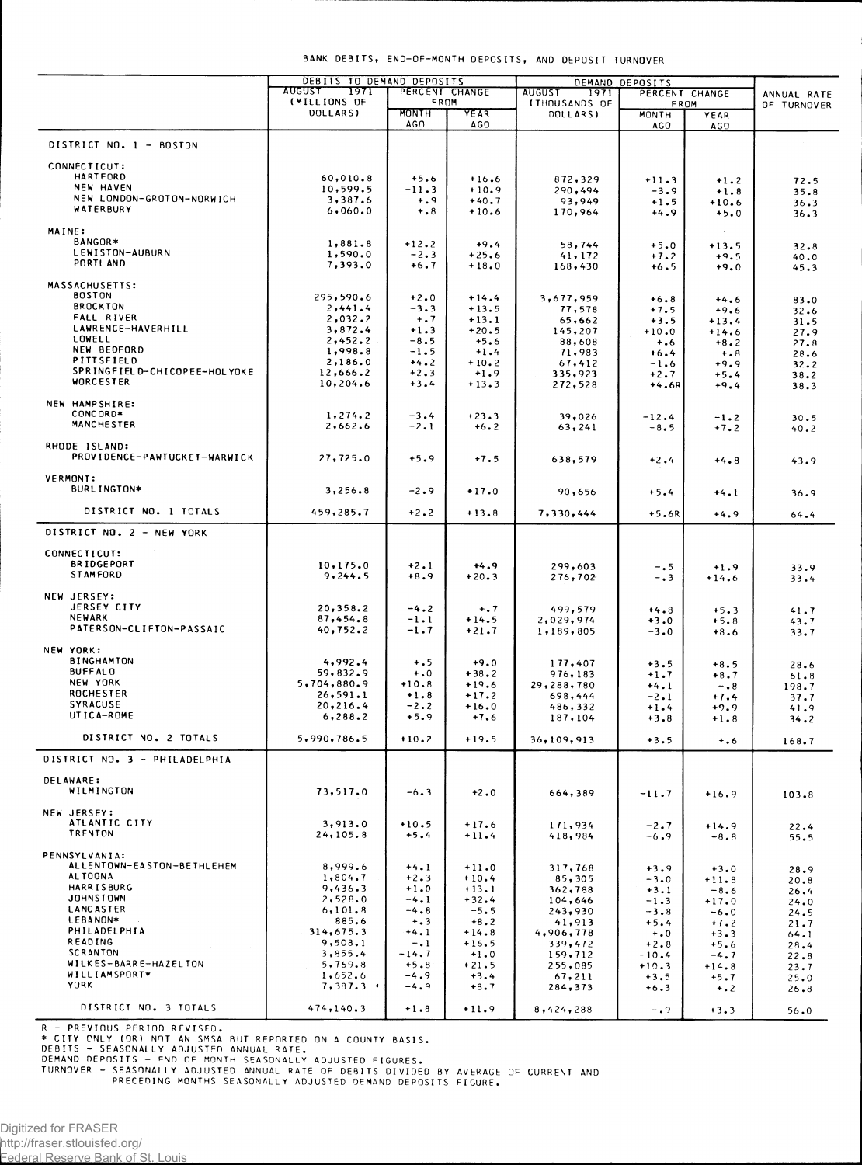| R - PREVIOUS PERIOD REVISED.<br>* CITY ONLY (OR) NOT AN SMSA BUT REPORTED ON A COUNTY BASIS.<br>DEBITS - SEASONALLY ADJUSTED ANNUAL RATE.<br>DEMAND DEPOSITS - END OF MONTH SEASONALLY ADJUSTED FIGURES.<br>TURNOVER - SEASONALLY ADJUSTED ANNUAL RATE OF DEBITS DIVIDED<br>PRECEDING MONTHS SEASONALLY ADJUSTED DEMAND DEPOS<br>Digitized for FRASER<br>/1ttp://fraser.stlouisfed.org<br>Eederal Reserve Bank of St. Louis |  |  |  |  |  |  |  |  |  |  |
|-----------------------------------------------------------------------------------------------------------------------------------------------------------------------------------------------------------------------------------------------------------------------------------------------------------------------------------------------------------------------------------------------------------------------------|--|--|--|--|--|--|--|--|--|--|
|                                                                                                                                                                                                                                                                                                                                                                                                                             |  |  |  |  |  |  |  |  |  |  |
|                                                                                                                                                                                                                                                                                                                                                                                                                             |  |  |  |  |  |  |  |  |  |  |
|                                                                                                                                                                                                                                                                                                                                                                                                                             |  |  |  |  |  |  |  |  |  |  |
|                                                                                                                                                                                                                                                                                                                                                                                                                             |  |  |  |  |  |  |  |  |  |  |
|                                                                                                                                                                                                                                                                                                                                                                                                                             |  |  |  |  |  |  |  |  |  |  |
|                                                                                                                                                                                                                                                                                                                                                                                                                             |  |  |  |  |  |  |  |  |  |  |
|                                                                                                                                                                                                                                                                                                                                                                                                                             |  |  |  |  |  |  |  |  |  |  |
|                                                                                                                                                                                                                                                                                                                                                                                                                             |  |  |  |  |  |  |  |  |  |  |
|                                                                                                                                                                                                                                                                                                                                                                                                                             |  |  |  |  |  |  |  |  |  |  |
|                                                                                                                                                                                                                                                                                                                                                                                                                             |  |  |  |  |  |  |  |  |  |  |
|                                                                                                                                                                                                                                                                                                                                                                                                                             |  |  |  |  |  |  |  |  |  |  |

|                                        | DEBITS TO DEMAND DEPOSITS             |                      |                    |                                  | DEMAND DEPOSITS    |                   |              |
|----------------------------------------|---------------------------------------|----------------------|--------------------|----------------------------------|--------------------|-------------------|--------------|
|                                        | <b>AUGUST</b><br>1971<br>(MILLIONS OF | PERCENT CHANGE       |                    | <b>AUGUST</b><br>1971            |                    | PERCENT CHANGE    | ANNUAL RATE  |
|                                        | DOLLARS)                              | FROM<br><b>MONTH</b> | YEAR               | <b>(THOUSANDS OF</b><br>DOLLARS) | FROM<br>MONTH      | YEAR              | OF TURNOVER  |
|                                        |                                       | AG <sub>0</sub>      | AGO                |                                  | AGO                | AGO.              |              |
| DISTRICT NO. 1 - BOSTON                |                                       |                      |                    |                                  |                    |                   |              |
| CONNECTICUT:                           |                                       |                      |                    |                                  |                    |                   |              |
| HARTFORD                               | 60,010.8                              | $+5.6$               | $+16.6$            | 872,329                          | $+11.3$            | $+1.2$            | 72.5         |
| NEW HAVEN<br>NEW LONDON-GROTON-NORWICH | 10,599.5                              | $-11.3$              | $+10.9$            | 290,494                          | $-3.9$             | $+1.8$            | 35.8         |
| <b>WATERBURY</b>                       | 3,387.6<br>6,060.0                    | $+0.9$<br>$+ 0.8$    | $+40.7$<br>$+10.6$ | 93,949<br>170,964                | $+1.5$<br>$+4.9$   | $+10.6$<br>$+5.0$ | 36.3         |
|                                        |                                       |                      |                    |                                  |                    |                   | 36.3         |
| MAINE:<br>BANGOR*                      |                                       |                      |                    |                                  |                    |                   |              |
| LEWISTON-AUBURN                        | 1,881.8<br>1,590.0                    | $+12.2$<br>$-2.3$    | $+9.4$<br>$+25.6$  | 58,744                           | $+5.0$             | $+13.5$           | 32.8         |
| PORTL AND                              | 7,393.0                               | $+6.7$               | $+18.0$            | 41, 172<br>168,430               | $+7.2$<br>$+6.5$   | $+9.5$<br>$+9.0$  | 40.0<br>45.3 |
|                                        |                                       |                      |                    |                                  |                    |                   |              |
| <b>MASSACHUSETTS:</b><br><b>BOSTON</b> | 295,590.6                             | $+2.0$               | $+14.4$            |                                  |                    |                   |              |
| <b>BROCKTON</b>                        | 2,441.4                               | $-3.3$               | $+13.5$            | 3,677,959<br>77,578              | $+6.8$<br>$+7.5$   | $+4.6$<br>$+9.6$  | 83.0<br>32.6 |
| <b>FALL RIVER</b>                      | 2,032.2                               | $+ .7$               | $+13.1$            | 65,662                           | $+3.5$             | $+13.4$           | 31.5         |
| LAWRENCE-HAVERHILL                     | 3,872.4                               | $+1.3$               | $+20.5$            | 145,207                          | $+10.0$            | $+14.6$           | 27.9         |
| LOWELL<br>NEW BEDFORD                  | 2,452.2<br>1,998.8                    | $-8.5$<br>$-1.5$     | $+5.6$<br>$+1.4$   | 88,608                           | $+0.6$             | $+8.2$            | 27.8         |
| PITTSFIELD                             | 2,186.0                               | $+4.2$               | $+10.2$            | 71,983<br>67,412                 | $+6.4$<br>$-1.6$   | $+ 0.8$<br>$+9.9$ | 28.6<br>32.2 |
| SPRINGFIELD-CHICOPEE-HOLYOKE           | 12,666.2                              | $+2.3$               | $+1.9$             | 335,923                          | $+2.7$             | $+5.4$            | 38.2         |
| <b>WORCESTER</b>                       | 10,204.6                              | $+3.4$               | $+13.3$            | 272,528                          | +4.6R              | $+9.4$            | 38.3         |
| NEW HAMPSHIRE:                         |                                       |                      |                    |                                  |                    |                   |              |
| CONCORD*                               | 1,274.2                               | $-3.4$               | $+23.3$            | 39,026                           | $-12.4$            | $-1.2$            | 30.5         |
| <b>MANCHESTER</b>                      | 2,662.6                               | $-2.1$               | $+6.2$             | 63, 241                          | $-8.5$             | $+7.2$            | 40.2         |
| RHODE ISLAND:                          |                                       |                      |                    |                                  |                    |                   |              |
| PROVIDENCE-PAWTUCKET-WARWICK           | 27,725.0                              | $+5.9$               | $+7.5$             | 638,579                          | $+2.4$             | $+4.8$            | 43.9         |
|                                        |                                       |                      |                    |                                  |                    |                   |              |
| <b>VERMONT:</b><br><b>BURLINGTON*</b>  | 3,256.8                               | $-2.9$               |                    |                                  |                    |                   |              |
|                                        |                                       |                      | $+17.0$            | 90,656                           | $+5.4$             | $+4.1$            | 36.9         |
| DISTRICT NO. 1 TOTALS                  | 459,285.7                             | $+2.2$               | $+13.8$            | 7,330,444                        | $+5.6R$            | $+4.9$            | 64.4         |
| DISTRICT NO. 2 - NEW YORK              |                                       |                      |                    |                                  |                    |                   |              |
| CONNECTICUT:                           |                                       |                      |                    |                                  |                    |                   |              |
| <b>BRIDGEPORT</b>                      | 10, 175.0                             | $+2.1$               | $+4.9$             | 299,603                          | $-0.5$             | $+1.9$            | 33.9         |
| STAMFORD                               | 9,244.5                               | $+8.9$               | $+20.3$            | 276,702                          | $-0.3$             | $+14.6$           | 33.4         |
| NEW JERSEY:                            |                                       |                      |                    |                                  |                    |                   |              |
| <b>JERSEY CITY</b>                     | 20,358.2                              | $-4.2$               | $+ .7$             | 499,579                          | $+4.8$             | $+5.3$            | 41.7         |
| <b>NEWARK</b>                          | 87,454.8                              | $-1-1$               | $+14.5$            | 2,029,974                        | $+3.0$             | $+5.8$            | 43.7         |
| PATERSON-CLIFTON-PASSAIC               | 40, 752.2                             | $-1.7$               | $+21.7$            | 1,189,805                        | $-3.0$             | $+8.6$            | 33.7         |
| NEW YORK:                              |                                       |                      |                    |                                  |                    |                   |              |
| <b>BINGHAMTON</b>                      | 4,992.4                               | $+ 0.5$              | $+9.0$             | 177,407                          | $+3.5$             | $+8.5$            | 28.6         |
| <b>BUFFALO</b>                         | 59,832.9                              | $\ddotsc$            | $+38.2$            | 976,183                          | $+1.7$             | $+8.7$            | 61.8         |
| NEW YORK<br><b>ROCHESTER</b>           | 5,704,880.9                           | $+10.8$              | $+19.6$            | 29,288,780                       | $+4.1$             | $-0.8$            | 198.7        |
| SYRACUSE                               | 26, 591.1<br>20,216.4                 | $+1.8$<br>$-2.2$     | $+17.2$<br>$+16.0$ | 698,444                          | $-2.1$             | $+7.4$            | 37.7         |
| UTICA-ROME                             | 6, 288.2                              | $+5.9$               | $+7.6$             | 486,332<br>187,104               | $+1.4$<br>$+3.8$   | $+9.9$<br>$+1.8$  | 41.9<br>34.2 |
|                                        |                                       |                      |                    |                                  |                    |                   |              |
| DISTRICT NO. 2 TOTALS                  | 5,990,786.5                           | $+10.2$              | $+19.5$            | 36,109,913                       | $+3.5$             | $+ 0.6$           | 168.7        |
| DISTRICT NO. 3 - PHILADELPHIA          |                                       |                      |                    |                                  |                    |                   |              |
| <b>DELAWARE:</b>                       |                                       |                      |                    |                                  |                    |                   |              |
| WILMINGTON                             | 73,517.0                              | $-6.3$               | $+2.0$             | 664,389                          | $-11.7$            | $+16.9$           | 103.8        |
| NEW JERSEY:                            |                                       |                      |                    |                                  |                    |                   |              |
| ATLANTIC CITY                          | 3,913.0                               | $+10.5$              | $+17.6$            | 171,934                          | $-2.7$             | $+14.9$           | 22.4         |
| <b>TRENTON</b>                         | 24, 105.8                             | $+5.4$               | $+11.4$            | 418,984                          | $-6.9$             | $-8.8$            | 55.5         |
| PENNSYLVANIA:                          |                                       |                      |                    |                                  |                    |                   |              |
| ALLENTOWN-EASTON-BETHLEHEM             | 8,999.6                               | $+4.1$               | $+11.0$            | 317,768                          | $+3.9$             | $+3.0$            | 28.9         |
| AL TOONA                               | 1,804.7                               | $+2.3$               | $+10.4$            | 85,305                           | $-3.0$             | $+11.8$           | 20.8         |
| <b>HARRISBURG</b><br><b>JOHNSTOWN</b>  | 9,436.3                               | $+1.0$               | $+13.1$            | 362,788                          | $+3.1$             | $-8.6$            | 26.4         |
| LANCASTER                              | 2,528.0<br>6, 101.8                   | $-4.1$<br>$-4.8$     | $+32.4$<br>$-5.5$  | 104,646<br>243,930               | $-1.3$<br>$-3.8$   | $+17.0$<br>$-6.0$ | 24.0         |
| LEBANON*                               | 885.6                                 | $+ . 3$              | $+8.2$             | 41,913                           | $+5.4$             | $+7.2$            | 24.5<br>21.7 |
| PHILADELPHIA                           | 314,675.3                             | $+4.1$               | $+14.8$            | 4,906,778                        | $+0$               | $+3.3$            | 64.1         |
| READING<br><b>SCRANTON</b>             | 9,508.1                               | $-1$                 | $+16.5$            | 339,472                          | $+2.8$             | $+5.6$            | 28.4         |
| WILKES-BARRE-HAZELTON                  | 3,955.4<br>5,769.8                    | $-14.7$<br>$+5.8$    | $+1.0$<br>$+21.5$  | 159,712<br>255,085               | $-10.4$<br>$+10.3$ | $-4.7$<br>$+14.8$ | 22.8<br>23.7 |
| WILLIAMSPORT*                          | 1,652.6                               | $-4.9$               | $+3.4$             | 67,211                           | $+3.5$             | $+5.7$            | 25.0         |
| <b>YORK</b>                            | 7,387.3                               | $-4.9$               | $+8.7$             | 284,373                          | $+6.3$             | $+$ .2            | 26.8         |
| DISTRICT NO. 3 TOTALS                  | 474, 140.3                            | $+1.8$               | $+11.9$            |                                  |                    |                   |              |
|                                        |                                       |                      |                    | 8,424,288                        | $-0.9$             | $+3.3$            | 56.0         |

ADJUSTED FIGURES.<br>E OF DEBITS DIVIDED BY AVERAGE OF CURRENT AND<br>JUSTED DEMAND DEPOSITS FIGURE.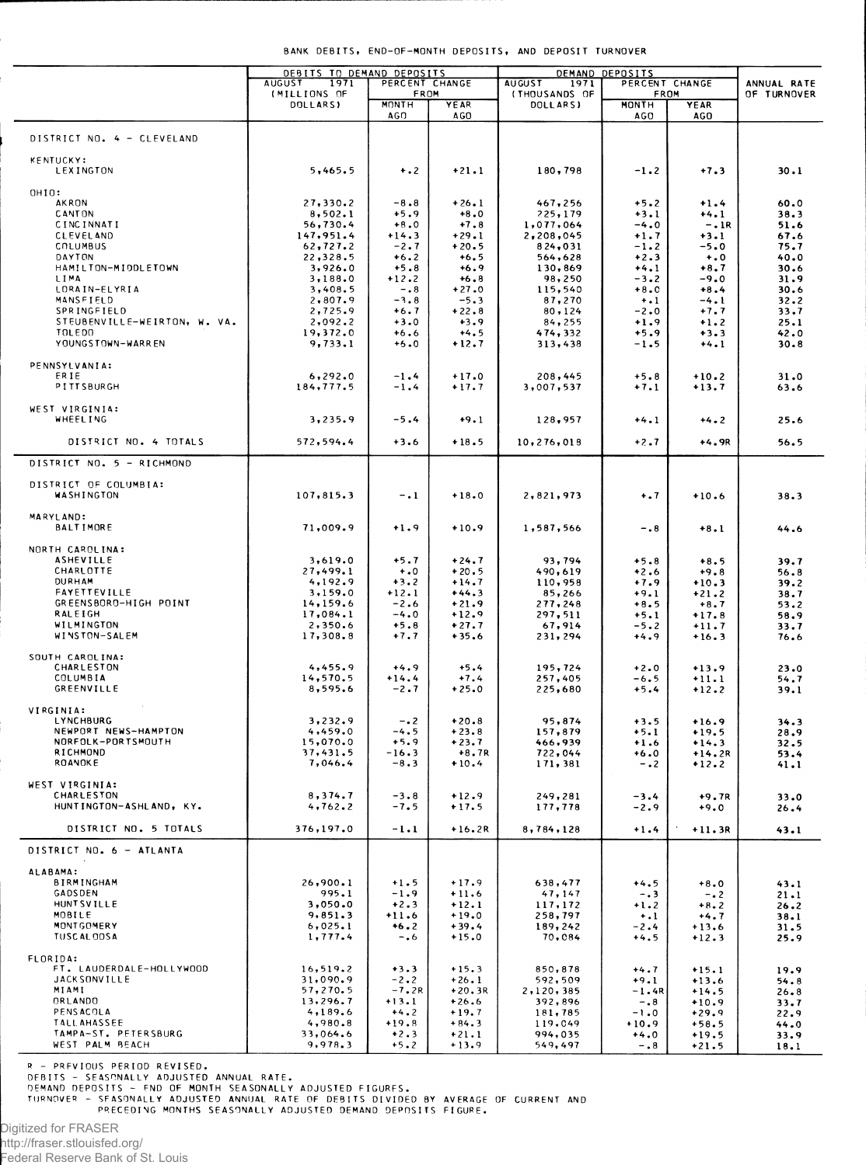|  | BANK DEBITS, END-OF-MONTH DEPOSITS, AND DEPOSIT TURNOVER |  |  |
|--|----------------------------------------------------------|--|--|
|  |                                                          |  |  |

|                                            | DEBITS TO DEMAND DEPOSITS             |                        |                     |                                        | DEMAND DEPOSITS        |                    |                            |  |
|--------------------------------------------|---------------------------------------|------------------------|---------------------|----------------------------------------|------------------------|--------------------|----------------------------|--|
|                                            | <b>AUGUST</b><br>1971<br>(MILLIONS OF | PERCENT CHANGE<br>FROM |                     | <b>AUGUST</b><br>1971<br>(THOUSANDS OF | PERCENT CHANGE<br>FROM |                    | ANNUAL RATE<br>OF TURNOVER |  |
|                                            | DOLLARS)                              | <b>MONTH</b><br>AGO    | YEAR<br>AGO         | DOLL ARS)                              | MONTH<br>AGO           | YEAR<br>AGO        |                            |  |
| DISTRICT NO. 4 - CLEVELAND                 |                                       |                        |                     |                                        |                        |                    |                            |  |
| <b>KENTUCKY:</b><br>LEXINGTON              | 5,465.5                               | $+ .2$                 | $+21.1$             | 180,798                                | $-1.2$                 | $+7.3$             | 30.1                       |  |
| OHIO:                                      |                                       |                        |                     |                                        |                        |                    |                            |  |
| AKRON<br><b>CANTON</b>                     | 27,330.2<br>8,502.1                   | $-8.8$<br>$+5.9$       | $+26.1$<br>$+8.0$   | 467,256<br>225,179                     | $+5.2$<br>$+3.1$       | $+1.4$<br>$+4.1$   | 60.0<br>38.3               |  |
| <b>CINCINNATI</b>                          | 56,730.4                              | $+8.0$                 | $+7.8$              | 1,077,064                              | $-4.0$                 | $-.1R$             | 51.6                       |  |
| <b>CLEVELAND</b>                           | 147,951.4                             | $+14.3$                | $+29.1$             | 2,208,045                              | $+1.7$                 | $+3.1$             | 67.6                       |  |
| COLUMBUS<br>DAYTON                         | 62,727.2                              | $-2.7$                 | $+20.5$             | 824,031                                | $-1.2$                 | $-5.0$             | 75.7                       |  |
| HAMILTON-MIDDLETOWN                        | 22,328.5<br>3,926.0                   | $+6.2$<br>$+5.8$       | $+6.5$<br>$+6.9$    | 564,628<br>130,869                     | $+2.3$<br>$+4.1$       | $+0$<br>$+8.7$     | 40.0<br>30.6               |  |
| LIMA                                       | 3,188.0                               | $+12.2$                | $+6.8$              | 98,250                                 | $-3.2$                 | $-9.0$             | 31.9                       |  |
| LORAIN-ELYRIA                              | 3,408.5                               | $-0.8$                 | $+27.0$             | 115,540                                | $+8.0$                 | $+8.4$             | 30.6                       |  |
| MANSFIELD<br>SPRINGFIELD                   | 2,807.9<br>2,725.9                    | $-3.8$<br>$+6.7$       | $-5.3$<br>$+22.8$   | 87,270<br>80, 124                      | $+1$<br>$-2.0$         | $-4.1$<br>$+7.7$   | 32.2<br>33.7               |  |
| STEUBENVILLE-WEIRTON, W. VA.               | 2,092.2                               | $+3.0$                 | $+3.9$              | 84, 255                                | $+1.9$                 | $+1.2$             | 25.1                       |  |
| <b>TOLEDO</b>                              | 19,372.0                              | $+6.6$                 | $+4.5$              | 474,332                                | $+5.9$                 | $+3.3$             | 42.0                       |  |
| YOUNGSTOWN-WARREN                          | 9,733.1                               | $+5.0$                 | $+12.7$             | 313,438                                | -1.5                   | $+4.1$             | 30.8                       |  |
| PENNSYLVANIA:                              |                                       |                        |                     |                                        |                        |                    |                            |  |
| ERIE<br>PITTSBURGH                         | 6, 292.0<br>184,777.5                 | $-1.4$<br>$-1.4$       | $+17.0$<br>$+17.7$  | 208,445<br>3,007,537                   | $+5.8$<br>$+7.1$       | $+10.2$<br>$+13.7$ | 31.0<br>63.6               |  |
| WEST VIRGINIA:                             |                                       |                        |                     |                                        |                        |                    |                            |  |
| WHEELING                                   | 3,235.9                               | $-5.4$                 | $+9.1$              | 128,957                                | $+4.1$                 | $+4.2$             | 25.6                       |  |
| DISTRICT NO. 4 TOTALS                      | 572,594.4                             | $+3.6$                 | $+18.5$             | 10,276,018                             | $+2.7$                 | +4.9R              | 56.5                       |  |
| DISTRICT NO. 5 - RICHMOND                  |                                       |                        |                     |                                        |                        |                    |                            |  |
| DISTRICT OF COLUMBIA:<br>WASHINGTON        | 107,815.3                             | $-1$                   | $+18.0$             | 2,821,973                              | $+$ .7                 | $+10.6$            | 38.3                       |  |
| MARYLAND:<br><b>BALTIMORE</b>              | 71,009.9                              | $+1.9$                 | $+10.9$             | 1,587,566                              | $-0.8$                 | $+8.1$             | 44.6                       |  |
| NORTH CAROLINA:                            |                                       |                        |                     |                                        |                        |                    |                            |  |
| <b>ASHEVILLE</b>                           | 3,619.0                               | $+5.7$                 | $+24.7$             | 93,794                                 | $+5.8$                 | $+8.5$             | 39.7                       |  |
| CHARLOTTE<br><b>DURHAM</b>                 | 27,499.1<br>4,192.9                   | $+0$<br>$+3.2$         | $+20.5$<br>$+14.7$  | 490,619<br>110,958                     | $+2.6$<br>$+7.9$       | $+9.8$<br>$+10.3$  | 56.8<br>39.2               |  |
| <b>FAYETTEVILLE</b>                        | 3,159.0                               | $+12.1$                | $+44.3$             | 85,266                                 | $+9.1$                 | $+21.2$            | 38.7                       |  |
| GREENSBORD-HIGH POINT                      | 14,159.6                              | $-2.6$                 | $+21.9$             | 277,248                                | $+8.5$                 | $+8.7$             | 53.2                       |  |
| RALEIGH<br>WILMINGTON                      | 17,084.1<br>2,350.6                   | $-4.0$<br>$+5.8$       | $+12.9$<br>$+27.7$  | 297,511<br>67,914                      | $+5.1$<br>-5.2         | $+17.8$<br>$+11.7$ | 58.9<br>33.7               |  |
| WINSTON-SALEM                              | 17,308.8                              | $+7.7$                 | $+35.6$             | 231,294                                | $+4.9$                 | $+16.3$            | 76.6                       |  |
| SOUTH CAROLINA:                            |                                       |                        |                     |                                        |                        |                    |                            |  |
| CHARLESTON<br>COLUMBIA                     | 4,455.9<br>14,570.5                   | $+4.9$<br>$+14.4$      | $+5.4$<br>$+7.4$    | 195,724<br>257,405                     | $+2.0$<br>-6.5         | $+13.9$<br>$+11.1$ | 23.0<br>54.7               |  |
| <b>GREENVILLE</b>                          | 8,595.6                               | $-2.7$                 | $+25.0$             | 225,680                                | $+5.4$                 | $+12.2$            | 39.1                       |  |
| VIRGINIA:                                  |                                       |                        |                     |                                        |                        |                    |                            |  |
| LYNCHBURG<br>NEWPORT NEWS-HAMPTON          | 3,232.9<br>4,459.0                    | $-.2$<br>$-4.5$        | $+20.8$<br>$+23.8$  | 95,874<br>157,879                      | $+3.5$<br>$+5.1$       | $+16.9$<br>$+19.5$ | 34.3<br>28.9               |  |
| NORFOLK-PORTSMOUTH                         | 15,070.0                              | $+5.9$                 | $+23.7$             | 466,939                                | $+1.6$                 | $+14.3$            | 32.5                       |  |
| RICHMOND<br>ROANOKE                        | 37,431.5<br>7,046.4                   | $-16.3$<br>$-8.3$      | $+8.7R$<br>$+10.4$  | 722,044                                | +6.0                   | +14.2R             | 53.4                       |  |
|                                            |                                       |                        |                     | 171,381                                | $-0.2$                 | $+12.2$            | 41.1                       |  |
| WEST VIRGINIA:<br>CHARLESTON               |                                       |                        |                     |                                        |                        |                    |                            |  |
| HUNTINGTON-ASHLAND, KY.                    | 8,374.7<br>4,762.2                    | $-3.8$<br>$-7.5$       | $+12.9$<br>$+17.5$  | 249,281<br>177,778                     | $-3.4$<br>$-2.9$       | $+9.7R$<br>$+9.0$  | 33.0<br>26.4               |  |
| DISTRICT NO. 5 TOTALS                      | 376,197.0                             | $-1.1$                 | $+16.2R$            | 8,784,128                              | $+1.4$                 | $+11.3R$           | 43.1                       |  |
| DISTRICT NO. 6 - ATLANTA                   |                                       |                        |                     |                                        |                        |                    |                            |  |
| ALABAMA:                                   |                                       |                        |                     |                                        |                        |                    |                            |  |
| BIRMINGHAM                                 | 26,900.1                              | $+1.5$                 | $+17.9$             | 638,477                                | $+4.5$                 | $+8.0$             | 43.1                       |  |
| GADSDEN<br>HUNTSVILLE                      | 995.1<br>3,050.0                      | $-1.9$<br>$+2.3$       | $+11.6$<br>$+12.1$  | 47, 147<br>117,172                     | $-0.3$                 | $-0.2$             | 21.1                       |  |
| MOBILE                                     | 9,851.3                               | $+11.6$                | $+19.0$             | 258,797                                | $+1.2$<br>$+ .1$       | $+8.2$<br>$+4.7$   | 26.2<br>38.1               |  |
| MONTGOMERY<br><b>TUSCAL 00SA</b>           | 6,025.1<br>1,777.4                    | $+6.2$<br>$-0.6$       | $+39.4$<br>$+15.0$  | 189,242<br>70,084                      | $-2.4$<br>$+4.5$       | $+13.6$<br>$+12.3$ | 31.5<br>25.9               |  |
| FLORIDA:                                   |                                       |                        |                     |                                        |                        |                    |                            |  |
| FT. LAUDERDALE-HOLLYWOOD                   | 16, 519.2                             | $+3.3$                 | $+15.3$             | 850,878                                | $+4.7$                 | $+15.1$            | 19.9                       |  |
| <b>JACKSONVILLE</b><br>MIAMI               | 31,090.9<br>57,270.5                  | $-2.2$<br>$-7.2R$      | $+26.1$<br>$+20.3R$ | 592,509<br>2,120,385                   | $+9.1$<br>$-1.4R$      | $+13.6$<br>$+14.5$ | 54.8                       |  |
| ORLANDO                                    | 13, 296.7                             | $+13.1$                | $+26.6$             | 392,896                                | $-0.8$                 | $+10.9$            | 26.8<br>33.7               |  |
| <b>PENSACOLA</b>                           | 4,189.6                               | $+4.2$                 | $+19.7$             | 181,785                                | $-1.0$                 | $+29.9$            | 22.9                       |  |
| <b>TALLAHASSEE</b><br>TAMPA-ST. PETERSBURG | 4,980.8<br>33,064.6                   | $+19.8$<br>$+2.3$      | $+84.3$<br>$+21.1$  | 119,049<br>994,035                     | $+10.9$                | $+58.5$            | 44.0                       |  |
| WEST PALM BEACH                            | 9,978.3                               | $+5.2$                 | $+13.9$             | 549,497                                | $+4.0$<br>$-0.8$       | $+19.5$<br>$+21.5$ | 33.9<br>18.1               |  |
|                                            |                                       |                        |                     |                                        |                        |                    |                            |  |

R – PREVIOUS PERIOD REVISED.<br>DEBITS – SEASPNALLY ADJUSTED ANNUAL RATE.<br>DEMAND DEPOSITS – END OF MONTH SEASONALLY ADJUSTED FIGURES.<br>TURNOVER – SEASONALLY ADJUSTED ANNUAL RATE OF DEBITS DIVIDED BY AVERAGE OF CURRENT AND<br>PREC

Digitized for FRASER http://fraser.stlouisfed.org/

į.

Federal Reserve Bank of St. Louis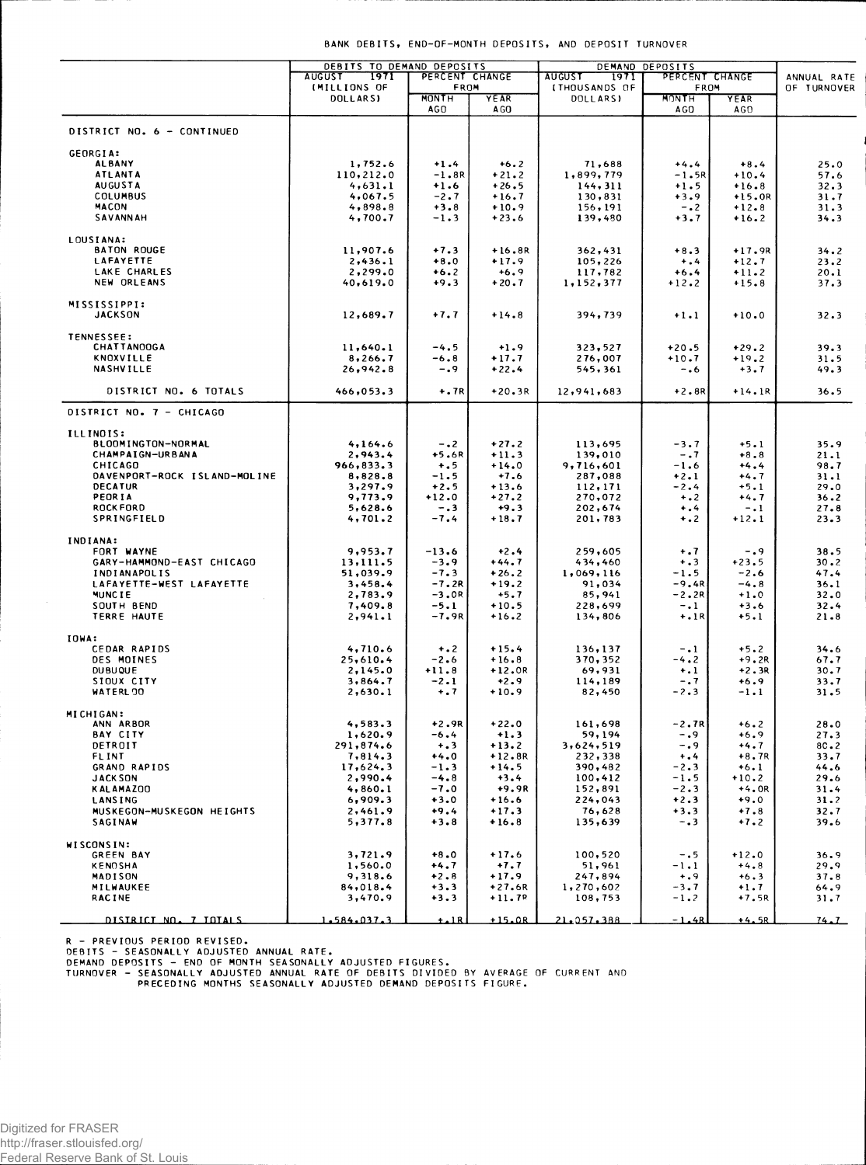Digitized for FRASER http://fraser.stlouisfed.org/ Federal Reserve Bank of St. Louis

WISCONSIN: GREEN BAY

KENOSHA MADISON

MILWAUKEE **RACINE** 

## BANK DEBITS, END-OF-MONTH DEPOSITS, AND DEPOSIT TURNOVER

|                              | DEBITS TO DEMAND DEPOSITS |                      |              |                             | DEMAND DEPOSITS           |          |             |
|------------------------------|---------------------------|----------------------|--------------|-----------------------------|---------------------------|----------|-------------|
|                              | <b>AUGUST</b><br>1971     | PERCENT CHANGE       |              | <b>AUGUST</b><br>1971       | PERCENT CHANGE            |          | ANNUAL RATE |
|                              | <b>IMILLIONS OF</b>       | FROM<br><b>MONTH</b> |              | <b><i>ITHOUSANDS OF</i></b> | FROM                      |          | OF TURNOVER |
|                              | DOLLARS)                  | AGO                  | YEAR<br>A GO | <b>DOLLARSI</b>             | MONTH<br>A <sub>G</sub> O | YEAR     |             |
|                              |                           |                      |              |                             |                           | AGO      |             |
| DISTRICT NO. 6 - CONTINUED   |                           |                      |              |                             |                           |          |             |
|                              |                           |                      |              |                             |                           |          |             |
| GEORGIA:                     |                           |                      |              |                             |                           |          |             |
| <b>ALBANY</b>                | 1,752.6                   | $+1.4$               | $+6.2$       | 71,688                      | $+4.4$                    | $+8.4$   | 25.0        |
| <b>ATLANTA</b>               | 110,212.0                 | $-1.8R$              | $+21.2$      | 1,899,779                   | $-1.5R$                   | $+10.4$  | 57.6        |
| <b>AUGUSTA</b>               | 4,631.1                   | $+1.6$               | $+26.5$      | 144, 311                    | $+1.5$                    | $+16.8$  | 32.3        |
| <b>COLUMBUS</b>              | 4,067.5                   | $-2.7$               | $+16.7$      | 130,831                     | $+3.9$                    | $+15.0R$ | 31.7        |
| MACON                        | 4,898.8                   | $+3.8$               | $+10.9$      |                             |                           |          |             |
|                              |                           |                      |              | 156, 191                    | $-0.2$                    | $+12.8$  | 31.3        |
| SAVANNAH                     | 4,700.7                   | $-1.3$               | $+23.6$      | 139,480                     | $+3.7$                    | $+16.2$  | 34.3        |
|                              |                           |                      |              |                             |                           |          |             |
| LOUSIANA:                    |                           |                      |              |                             |                           |          |             |
| <b>BATON ROUGE</b>           | 11,907.6                  | $+7.3$               | $+16.8R$     | 362,431                     | $+8.3$                    | $+17.9R$ | 34.2        |
| LAFAYETTE                    | 2,436.1                   | $+8.0$               | $+17.9$      | 105,226                     | $+$ .4                    | $+12.7$  | 23.2        |
| LAKE CHARLES                 | 2,299.0                   | $+6.2$               | $+6.9$       | 117,782                     | $+6.4$                    | $+11.2$  | 20.1        |
| NEW ORLEANS                  | 40,619.0                  | $+9.3$               | $+20.7$      | 1,152,377                   | $+12.2$                   | $+15.8$  | 37.3        |
|                              |                           |                      |              |                             |                           |          |             |
| MISSISSIPPI:                 |                           |                      |              |                             |                           |          |             |
| <b>JACKSON</b>               | 12,689.7                  | $+7.7$               | $+14.8$      | 394,739                     | $+1.1$                    | $+10.0$  | 32.3        |
|                              |                           |                      |              |                             |                           |          |             |
| TENNESSEE:                   |                           |                      |              |                             |                           |          |             |
| <b>CHATTANOOGA</b>           | 11,640.1                  | $-4.5$               | $+1.9$       | 323,527                     | $+20.5$                   | $+29.2$  | 39.3        |
| KNOXVILLE                    | 8, 266.7                  | $-6.8$               | $+17.7$      | 276,007                     | $+10.7$                   | $+19.2$  | 31.5        |
| <b>NASHVILLE</b>             | 26,942.8                  | $-0.9$               | $+22.4$      | 545,361                     | -.6                       | $+3.7$   | 49.3        |
|                              |                           |                      |              |                             |                           |          |             |
| DISTRICT NO. 6 TOTALS        | 466,053.3                 | $+.7R$               | $+20.3R$     | 12,941,683                  | $+2.8R$                   | $+14.1R$ | 36.5        |
|                              |                           |                      |              |                             |                           |          |             |
| DISTRICT NO. 7 - CHICAGO     |                           |                      |              |                             |                           |          |             |
|                              |                           |                      |              |                             |                           |          |             |
| ILLINOIS:                    |                           |                      |              |                             |                           |          |             |
| BLOOMINGTON-NORMAL           | 4,164.6                   | $-0.2$               | $+27.2$      | 113,695                     | $-3.7$                    | $+5.1$   | 35.9        |
|                              |                           |                      |              |                             |                           |          |             |
| <b>CHAMPAIGN-URBANA</b>      | 2,943.4                   | $+5.6R$              | $+11.3$      | 139,010                     | $-1.7$                    | $+8.8$   | 21.1        |
| CHICAGO                      | 966,833.3                 | $+ 0.5$              | $+14.0$      | 9,716,601                   | $-1.6$                    | $+4.4$   | 98.7        |
| DAVENPORT-ROCK ISLAND-MOLINE | 8,828.8                   | $-1.5$               | $+7.6$       | 287,088                     | $+2.1$                    | $+4.7$   | 31.1        |
| DECATUR                      | 3,297.9                   | $+2.5$               | $+13.6$      | 112,171                     | $-2.4$                    | $+5.1$   | 29.0        |
| PEORIA                       | 9,773.9                   | $+12.0$              | +27.2        | 270,072                     | $+$ .2                    | $+4.7$   | 36.2        |
| <b>ROCKFORD</b>              | 5,628.6                   | $-0.3$               | $+9.3$       | 202,674                     | $+ 1.4$                   | $-1$     | 27.8        |
| SPRINGFIELD                  | 4,701.2                   | -7.4                 | $+18.7$      | 201,783                     | $+$ .2                    | $+12.1$  | 23.3        |
|                              |                           |                      |              |                             |                           |          |             |
| INDIANA:                     |                           |                      |              |                             |                           |          |             |
| FORT WAYNE                   | 9,953.7                   | $-13.6$              | $+2.4$       | 259,605                     | $+ .7$                    | $-0.9$   | 38.5        |
| GARY-HAMMOND-EAST CHICAGO    | 13,111.5                  | $-3.9$               | $+44.7$      | 434,460                     | $+ .3$                    | $+23.5$  | 30.2        |
| INDIANAPOLIS                 | 51,039.9                  | $-7.3$               | $+26.2$      | 1,069,116                   | $-1.5$                    | $-2.6$   | 47.4        |
| LAFAYETTE-WEST LAFAYETTE     | 3,458.4                   | $-7.2R$              | $+19.2$      | 91,034                      | $-9.4R$                   | $-4.8$   | 36.1        |
| <b>MUNCTE</b>                | 2,783.9                   | $-3.0R$              | $+5.7$       | 85,941                      | –2.2R                     | $+1.0$   | 32.0        |
| SOUTH BEND                   | 7,409.8                   | $-5.1$               | $+10.5$      | 228,699                     | $-1$                      | $+3.6$   | 32.4        |
| TERRE HAUTE                  | 2,941.1                   | $-7.9R$              | $+16.2$      | 134,806                     | $+.1R$                    | $+5.1$   | 21.8        |
|                              |                           |                      |              |                             |                           |          |             |
| IOWA:                        |                           |                      |              |                             |                           |          |             |
|                              |                           |                      | $+15.4$      |                             |                           | $+5.2$   |             |
| CEDAR RAPIDS                 | 4,710.6                   | $+ 0.2$              |              | 136,137                     | $-1$                      |          | 34.6        |
| DES MOINES                   | 25,610.4                  | $-2.6$               | $+16.8$      | 370, 352                    | $-4.2$                    | $+9.2R$  | 67.7        |
| <b>DUBUQUE</b>               | 2,145.0                   | $+11.8$              | $+12.0R$     | 69,931                      | $+1$                      | $+2.3R$  | 30.7        |
| SIOUX CITY                   | 3,864.7                   | $-2.1$               | $+2.9$       | 114,189                     | $-0.7$                    | $+6.9$   | 33.7        |
| WATERL 00                    | 2,630.1                   | $+ .7$               | $+10.9$      | 82,450                      | $-2.3$                    | $-1.1$   | 31.5        |
|                              |                           |                      |              |                             |                           |          |             |
| MICHIGAN:                    |                           |                      |              |                             |                           |          |             |
| ANN ARBOR                    | 4,583.3                   | $+2.9R$              | $+22.0$      | 161,698                     | $-2.7R$                   | $+6.2$   | 28.0        |
| <b>BAY CITY</b>              | 1,620.9                   | $-6.4$               | $+1.3$       | 59,194                      | $-0.9$                    | $+6.9$   | 27.3        |
| DETROIT                      | 291,874.6                 | $+3$                 | $+13.2$      | 3,624,519                   | $-0.9$                    | $+4.7$   | 8C.2        |
| <b>FLINT</b>                 | 7,814.3                   | $+4.0$               | $+12.8R$     | 232,338                     | $+ .4$                    | $+8.7R$  | 33.7        |
| GRAND RAPIDS                 | 17,624.3                  | $-1.3$               | $+14.5$      | 390,482                     | $-2.3$                    | $+6.1$   | 44.6        |
| <b>JACK SON</b>              | 2,990.4                   | $-4.8$               | $+3.4$       | 100,412                     | $-1.5$                    | $+10.2$  | 29.6        |
| <b>KALAMAZOO</b>             | 4,860.1                   | $-7.0$               | +9.9R        | 152,891                     | $-2.3$                    | $+4.0R$  | 31.4        |
| LANSING                      | 6,909.3                   | $+3.0$               | $+16.6$      | 224,043                     | $+2.3$                    | $+9.0$   | 31.2        |
|                              |                           |                      |              |                             |                           |          |             |
| MUSKEGON-MUSKEGON HEIGHTS    | 2,461.9                   | $+9.4$               | $+17.3$      | 76,628                      | $+3.3$                    | $+7.8$   | 32.7        |
| <b>SAGINAW</b>               | 5,377.8                   | $+3.8$               | $+16.8$      | 135,639                     | $-0.3$                    | $+7.2$   | 39.6        |

DISTRICT NO. 7 TOTALS

R - PREVIOUS PERIOD REVISED.<br>DEBITS - SEASONALLY ADJUSTED ANNUAL RATE.<br>DEMAND DEPOSITS - END OF MONTH SEASONALLY ADJUSTED FIGURES.<br>TURNOVER - SEASONALLY ADJUSTED ANNUAL RATE OF DEBITS DIVIDED BY AVERAGE OF CURRENT AND<br>PREC

1.584.037.3

3,721.9

 $1,560.0$ <br>9,318.6

 $84,018.4$ 

3,470.9

 $+8.0$ 

 $+4.7$ <br> $+2.8$ <br> $+3.3$ 

 $+3.3$ 

Ă 1 B  $+17.6$ 

 $+7.7$ <br> $+17.9$ <br> $+27.6R$ 

 $+11.78$ 

 $+15.0R$ 

100,520

 $51,961$   $247,894$   $1,270,602$   $108,753$ 

21.057.388

 $-0.5$ 

 $-1.1$ <br> $+ .9$ <br> $-3.7$ 

 $-1\cdot 2$ 

 $-1.46$ 

 $+12.0$ 

 $+4.8$ <br> $+6.3$ <br> $+1.7$ 

 $+7.5R$ 

 $+4.5R$ 

 $36.9$ 

 $29.9$ <br>37.8<br>64.9

 $31.7$ 

 $74.1$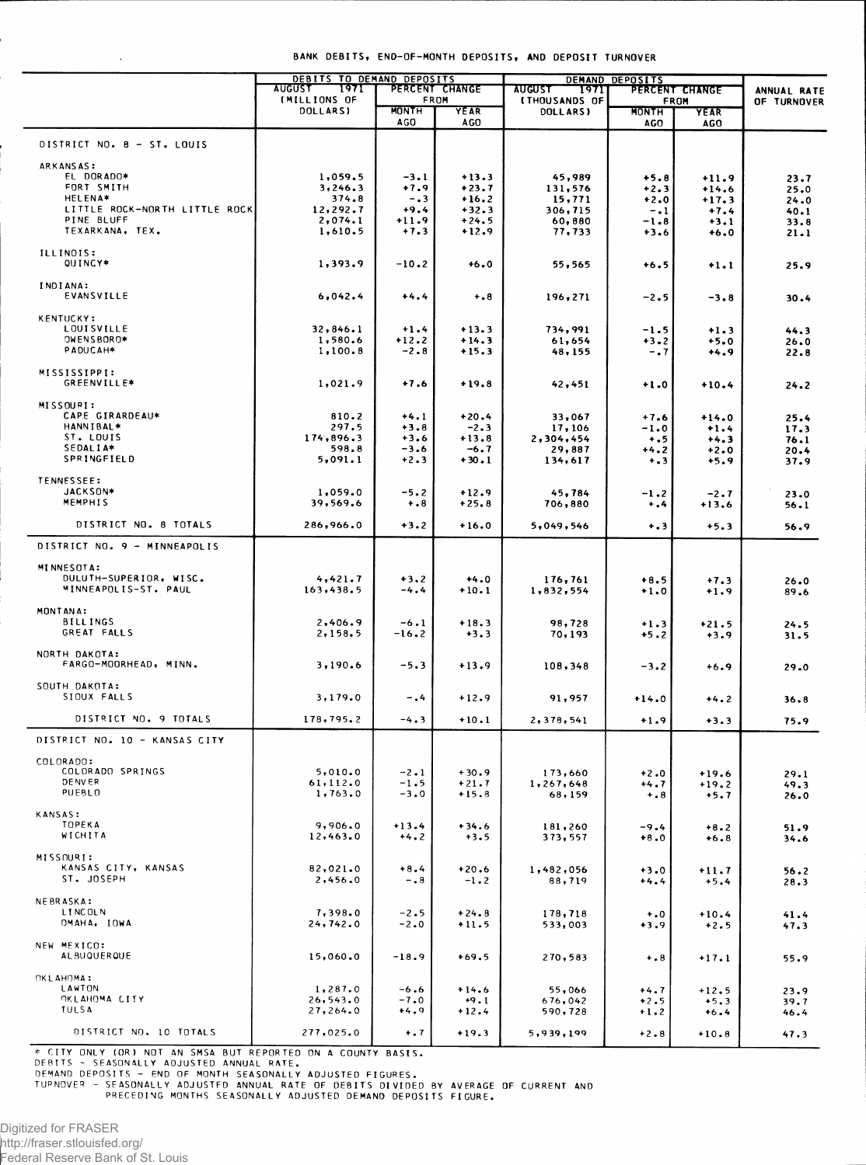|                                             | DEBITS TO DEMAND DEPOSITS             |                            |                        |                                                | DEMAND DEPOSITS     |                               |                            |
|---------------------------------------------|---------------------------------------|----------------------------|------------------------|------------------------------------------------|---------------------|-------------------------------|----------------------------|
|                                             | 1971<br><b>AUGUST</b><br>(MILLIONS OF |                            | PERCENT CHANGE<br>FROM | <b>AUGUST</b><br>1971]<br><b>(THOUSANDS OF</b> |                     | PERCENT CHANGE<br><b>FROM</b> | ANNUAL RATE<br>OF TURNOVER |
|                                             | DOLLARS)                              | <b>MONTH</b><br><b>AGO</b> | YEAR<br><b>AGO</b>     | <b>DOLLARS)</b>                                | <b>MONTH</b><br>AGO | YEAR<br>AGO                   |                            |
|                                             |                                       |                            |                        |                                                |                     |                               |                            |
| DISTRICT NO. 8 - ST. LOUIS                  |                                       |                            |                        |                                                |                     |                               |                            |
| ARKANSAS:<br>EL DORADO*                     | 1,059.5                               | $-3.1$                     | $+13.3$                | 45,989                                         | $+5.8$              |                               |                            |
| FORT SMITH                                  | 3,246.3                               | $+7.9$                     | $+23.7$                | 131,576                                        | $+2.3$              | $+11.9$<br>$+14.6$            | 23.7<br>25.0               |
| <b>HELENA*</b>                              | 374.8                                 | $-0.3$                     | $+16.2$                | 15,771                                         | $+2.0$              | $+17.3$                       | 24.0                       |
| LITTLE ROCK-NORTH LITTLE ROCK               | 12,292.7                              | $+9.4$                     | $+32.3$                | 306,715                                        | $-1$                | $+7.4$                        | 40.1                       |
| PINE BLUFF<br>TEXARKANA, TEX.               | 2,074.1<br>1,610.5                    | $+11.9$<br>$+7.3$          | $+24.5$<br>$+12.9$     | 60,880<br>77,733                               | $-1.8$<br>$+3.6$    | $+3.1$<br>$+6.0$              | 33.8<br>21.1               |
|                                             |                                       |                            |                        |                                                |                     |                               |                            |
| ILLINOIS:<br>QUINCY*                        | 1,393.9                               | $-10.2$                    | $+6.0$                 | 55,565                                         | $+6.5$              | $+1.1$                        | 25.9                       |
| INDIANA:<br>EVANSVILLE                      | 6,042.4                               | $+4.4$                     | $+0.8$                 | 196,271                                        | $-2.5$              | $-3.8$                        | 30.4                       |
| <b>KENTUCKY:</b>                            |                                       |                            |                        |                                                |                     |                               |                            |
| <b>LOUISVILLE</b>                           | 32,846.1                              | $+1.4$                     | $+13.3$                | 734,991                                        | $-1.5$              | $+1.3$                        | 44.3                       |
| OWENSBORO*                                  | 1,580.6                               | $+12.2$                    | $+14.3$                | 61,654                                         | $+3.2$              | $+5.0$                        | 26.0                       |
| PADUCAH*                                    | 1,100.8                               | $-2.8$                     | $+15.3$                | 48,155                                         | $-0.7$              | $+4.9$                        | 22.8                       |
| MISSISSIPPI:<br>GREENVILLE*                 | 1,021.9                               | $+7.6$                     | $+19.8$                | 42,451                                         | $+1.0$              | $+10.4$                       | 24.2                       |
| MISSOURI:                                   |                                       |                            |                        |                                                |                     |                               |                            |
| CAPE GIRARDEAU*                             | 810.2                                 | $+4.1$                     | $+20.4$                | 33,067                                         | $+7.6$              | $+14.0$                       | 25.4                       |
| HANNIBAL*                                   | 297.5                                 | $+3.8$                     | $-2.3$                 | 17,106                                         | $-1.0$              | $+1.4$                        | 17.3                       |
| ST. LOUIS<br>SEDALIA*                       | 174,896.3<br>598.8                    | $+3.6$<br>$-3.6$           | $+13.8$<br>$-6.7$      | 2,304,454<br>29,887                            | $+ .5$              | $+4.3$                        | 76.1                       |
| SPRINGFIELD                                 | 5,091.1                               | $+2.3$                     | $+30.1$                | 134,617                                        | $+4.2$<br>$+ 3$     | $+2.0$<br>$+5.9$              | 20.4<br>37.9               |
|                                             |                                       |                            |                        |                                                |                     |                               |                            |
| <b>TENNESSEE:</b>                           |                                       |                            |                        |                                                |                     |                               |                            |
| JACKSON*<br><b>MEMPHIS</b>                  | 1,059.0<br>39,569.6                   | $-5.2$<br>$+ 0.8$          | $+12.9$<br>$+25.8$     | 45,784<br>706,880                              | $-1.2$              | $-2.7$<br>$+13.6$             | 23.0                       |
|                                             |                                       |                            |                        |                                                | $+ .4$              |                               | 56.1                       |
| DISTRICT NO. 8 TOTALS                       | 286,966.0                             | $+3.2$                     | $+16.0$                | 5,049,546                                      | $+ 3$               | $+5.3$                        | 56.9                       |
| DISTRICT NO. 9 - MINNEAPOLIS                |                                       |                            |                        |                                                |                     |                               |                            |
| MINNESOTA:                                  |                                       |                            |                        |                                                |                     |                               |                            |
| DULUTH-SUPERIOR, WISC.                      | 4,421.7                               | $+3.2$                     | $+4.0$                 | 176,761                                        | $+8.5$              | $+7.3$                        | 26.0                       |
| MINNEAPOLIS-ST. PAUL                        | 163,438.5                             | $-4.4$                     | $+10.1$                | 1,832,554                                      | $+1.0$              | $+1.9$                        | 89.6                       |
| MONTANA:                                    |                                       |                            |                        |                                                |                     |                               |                            |
| <b>BILLINGS</b>                             | 2,406.9                               | $-6.1$                     | $+18.3$                | 98,728                                         | $+1.3$              | $+21.5$                       | 24.5                       |
| GREAT FALLS                                 | 2,158.5                               | $-16.2$                    | $+3.3$                 | 70,193                                         | $+5.2$              | $+3.9$                        | 31.5                       |
|                                             |                                       |                            |                        |                                                |                     |                               |                            |
| NORTH DAKOTA:<br>FARGO-MOORHEAD, MINN.      | 3,190.6                               | -5.3                       | $+13.9$                | 108,348                                        | $-3.2$              | $+6.9$                        | 29.0                       |
|                                             |                                       |                            |                        |                                                |                     |                               |                            |
| SOUTH DAKOTA:<br>SIOUX FALLS                |                                       |                            |                        |                                                |                     |                               |                            |
|                                             | 3,179.0                               | $-0.4$                     | $+12.9$                | 91,957                                         | $+14.0$             | $+4.2$                        | 36.8                       |
| DISTRICT NO. 9 TOTALS                       | 178,795.2                             | $-4.3$                     | $+10.1$                | 2,378,541                                      | $+1.9$              | $+3.3$                        | 75.9                       |
| DISTRICT NO. 10 - KANSAS CITY               |                                       |                            |                        |                                                |                     |                               |                            |
|                                             |                                       |                            |                        |                                                |                     |                               |                            |
| COLORADO:<br>COLORADO SPRINGS               | 5,010.0                               | $-2.1$                     | $+30.9$                | 173,660                                        | $+2.0$              | $+19.6$                       | 29.1                       |
| DENVER                                      | 61, 112.0                             | $-1.5$                     | $+21.7$                | 1,267,648                                      | $+4.7$              | $+19.2$                       | 49.3                       |
| PUEBLO                                      | 1,763.0                               | $-3.0$                     | $+15.8$                | 68,159                                         | $+ 0.8$             | $+5.7$                        | 26.0                       |
| <b>KANSAS:</b>                              |                                       |                            |                        |                                                |                     |                               |                            |
| TOPEKA                                      | 9,906.0                               | $+13.4$                    | $+34.6$                | 181,260                                        | $-9.4$              | $+8.2$                        | 51.9                       |
| WICHITA                                     | 12,463.0                              | $+4.2$                     | $+3.5$                 | 373,557                                        | $+8.0$              | $+6.8$                        | 34.6                       |
| MISSOURI:                                   |                                       |                            |                        |                                                |                     |                               |                            |
| KANSAS CITY, KANSAS                         | 82,021.0                              | $+8.4$                     | $+20.6$                | 1,482,056                                      | $+3.0$              | $+11.7$                       | 56.2                       |
| ST. JOSEPH                                  | 2,456.0                               | $-0.8$                     | $-1.2$                 | 88,719                                         | $+4.4$              | $+5.4$                        | 28.3                       |
| NEBRASKA:                                   |                                       |                            |                        |                                                |                     |                               |                            |
| <b>LINCOLN</b>                              | 7,398.0                               | $-2.5$                     | $+24.8$                | 178,718                                        | $^{+}.0$            | $+10.4$                       | 41.4                       |
| OMAHA, IOWA                                 | 24, 742.0                             | $-2.0$                     | $+11.5$                | 533,003                                        | $+3.9$              | $+2.5$                        | 47.3                       |
|                                             |                                       |                            |                        |                                                |                     |                               |                            |
| NEW MEXICO:<br><b>ALBUQUERQUE</b>           | 15,060.0                              |                            |                        |                                                |                     |                               |                            |
|                                             |                                       | $-18.9$                    | $+69.5$                | 270,583                                        | $+ 0.8$             | $+17.1$                       | 55.9                       |
| OKLAHOMA:                                   |                                       |                            |                        |                                                |                     |                               |                            |
| LAWTON                                      | 1,287.0                               | $-6.6$                     | $+14.6$                | 55,066                                         | $+4.7$              | $+12.5$                       | 23.9                       |
| <b><i>OKLAHOMA CITY</i></b><br><b>TULSA</b> | 26, 543.0<br>27,264.0                 | $-7.0$<br>$+4.9$           | $+9.1$                 | 676,042                                        | $+2.5$              | $+5.3$                        | 39.7                       |
|                                             |                                       |                            | $+12.4$                | 590,728                                        | $+1.2$              | $+6.4$                        | 46.4                       |
| DISTRICT NO. 10 TOTALS                      | 277,025.0                             | $+ .7$                     | $+19.3$                | 5,939,199                                      | $+2.8$              | $+10.8$                       | 47.3                       |
|                                             |                                       |                            |                        |                                                |                     |                               |                            |

\* CITY ONLY (OR) NOT AN SMSA BUT REPORTED ON A COUNTY BASIS.<br>DEBITS - SEASONALLY ADJUSTED ANNUAL RATE.<br>DEMAND DEPOSITS - END OF MONTH SEASONALLY ADJUSTED FIGURES.<br>TUPNOVER - SEASONALLY ADJUSTED ANNUAL RATE OF DEBITS DIVIDE

 $\sim$   $\sim$